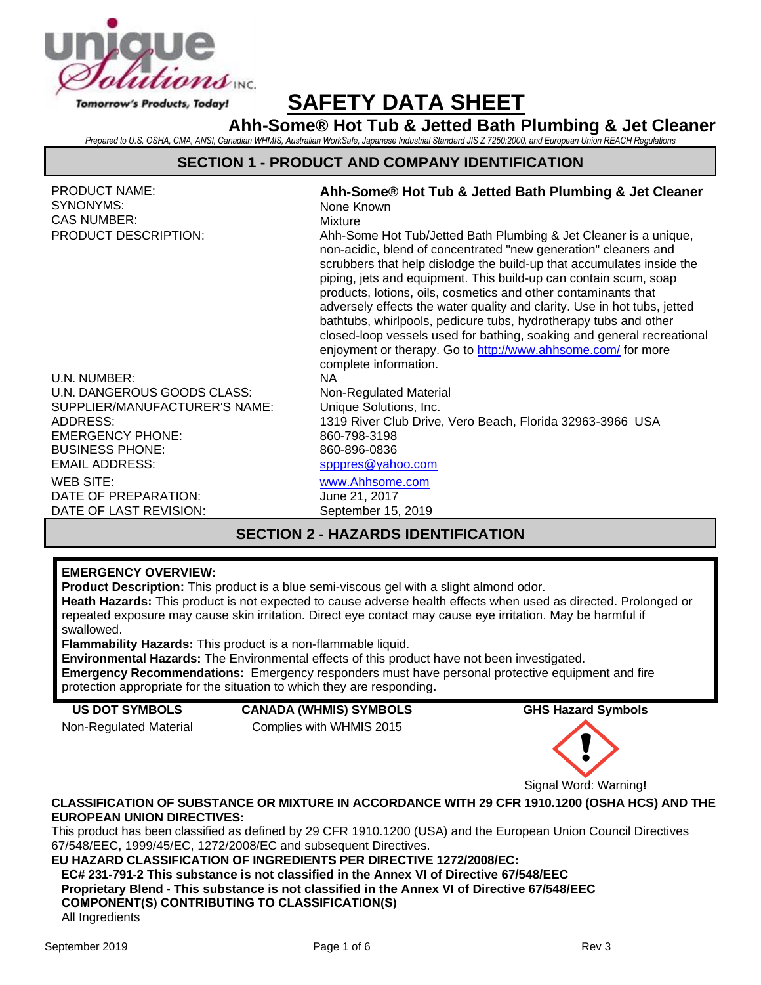

# **SAFETY DATA SHEET**

**Ahh-Some® Hot Tub & Jetted Bath Plumbing & Jet Cleaner** *Prepared to U.S. OSHA, CMA, ANSI, Canadian WHMIS, Australian WorkSafe, Japanese Industrial Standard JIS Z 7250:2000, and European Union REACH Regulations*

## **SECTION 1 - PRODUCT AND COMPANY IDENTIFICATION**

| <b>PRODUCT NAME:</b><br>SYNONYMS:         | Ahh-Some® Hot Tub & Jetted Bath Plumbing & Jet Cleaner                                                                                                                                                                                                                                                                                                                                                                                                                                                                                                                                                                                                                |  |  |  |  |
|-------------------------------------------|-----------------------------------------------------------------------------------------------------------------------------------------------------------------------------------------------------------------------------------------------------------------------------------------------------------------------------------------------------------------------------------------------------------------------------------------------------------------------------------------------------------------------------------------------------------------------------------------------------------------------------------------------------------------------|--|--|--|--|
| CAS NUMBER:                               | None Known<br>Mixture                                                                                                                                                                                                                                                                                                                                                                                                                                                                                                                                                                                                                                                 |  |  |  |  |
| PRODUCT DESCRIPTION:                      | Ahh-Some Hot Tub/Jetted Bath Plumbing & Jet Cleaner is a unique,<br>non-acidic, blend of concentrated "new generation" cleaners and<br>scrubbers that help dislodge the build-up that accumulates inside the<br>piping, jets and equipment. This build-up can contain scum, soap<br>products, lotions, oils, cosmetics and other contaminants that<br>adversely effects the water quality and clarity. Use in hot tubs, jetted<br>bathtubs, whirlpools, pedicure tubs, hydrotherapy tubs and other<br>closed-loop vessels used for bathing, soaking and general recreational<br>enjoyment or therapy. Go to http://www.ahhsome.com/ for more<br>complete information. |  |  |  |  |
| U.N. NUMBER:                              | NA.                                                                                                                                                                                                                                                                                                                                                                                                                                                                                                                                                                                                                                                                   |  |  |  |  |
| U.N. DANGEROUS GOODS CLASS:               | Non-Regulated Material                                                                                                                                                                                                                                                                                                                                                                                                                                                                                                                                                                                                                                                |  |  |  |  |
| SUPPLIER/MANUFACTURER'S NAME:<br>ADDRESS: | Unique Solutions, Inc.<br>1319 River Club Drive, Vero Beach, Florida 32963-3966 USA                                                                                                                                                                                                                                                                                                                                                                                                                                                                                                                                                                                   |  |  |  |  |
| <b>EMERGENCY PHONE:</b>                   | 860-798-3198                                                                                                                                                                                                                                                                                                                                                                                                                                                                                                                                                                                                                                                          |  |  |  |  |
| <b>BUSINESS PHONE:</b>                    | 860-896-0836                                                                                                                                                                                                                                                                                                                                                                                                                                                                                                                                                                                                                                                          |  |  |  |  |
| <b>EMAIL ADDRESS:</b>                     | spppres@yahoo.com                                                                                                                                                                                                                                                                                                                                                                                                                                                                                                                                                                                                                                                     |  |  |  |  |
| WEB SITE:                                 | www.Ahhsome.com                                                                                                                                                                                                                                                                                                                                                                                                                                                                                                                                                                                                                                                       |  |  |  |  |
| DATE OF PREPARATION:                      | June 21, 2017                                                                                                                                                                                                                                                                                                                                                                                                                                                                                                                                                                                                                                                         |  |  |  |  |
| DATE OF LAST REVISION:                    | September 15, 2019                                                                                                                                                                                                                                                                                                                                                                                                                                                                                                                                                                                                                                                    |  |  |  |  |
|                                           |                                                                                                                                                                                                                                                                                                                                                                                                                                                                                                                                                                                                                                                                       |  |  |  |  |

# **SECTION 2 - HAZARDS IDENTIFICATION**

#### **EMERGENCY OVERVIEW:**

**Product Description:** This product is a blue semi-viscous gel with a slight almond odor.

**Heath Hazards:** This product is not expected to cause adverse health effects when used as directed. Prolonged or repeated exposure may cause skin irritation. Direct eye contact may cause eye irritation. May be harmful if swallowed.

**Flammability Hazards:** This product is a non-flammable liquid.

**Environmental Hazards:** The Environmental effects of this product have not been investigated. **Emergency Recommendations:** Emergency responders must have personal protective equipment and fire protection appropriate for the situation to which they are responding.

**US DOT SYMBOLS CANADA (WHMIS) SYMBOLS GHS Hazard Symbols** Non-Regulated Material Complies with WHMIS 2015



Signal Word: Warning**!**

#### **CLASSIFICATION OF SUBSTANCE OR MIXTURE IN ACCORDANCE WITH 29 CFR 1910.1200 (OSHA HCS) AND THE EUROPEAN UNION DIRECTIVES:**

This product has been classified as defined by 29 CFR 1910.1200 (USA) and the European Union Council Directives 67/548/EEC, 1999/45/EC, 1272/2008/EC and subsequent Directives.

### **EU HAZARD CLASSIFICATION OF INGREDIENTS PER DIRECTIVE 1272/2008/EC:**

**EC# 231-791-2 This substance is not classified in the Annex VI of Directive 67/548/EEC Proprietary Blend - This substance is not classified in the Annex VI of Directive 67/548/EEC COMPONENT(S) CONTRIBUTING TO CLASSIFICATION(S)**

All Ingredients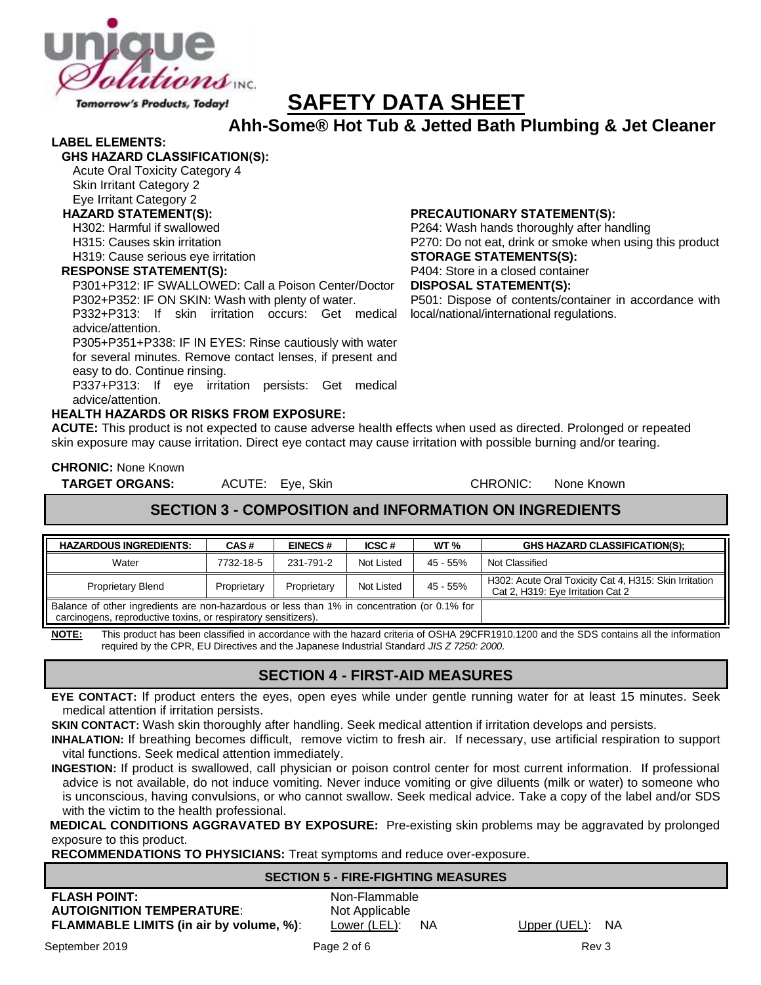

# **SAFETY DATA SHEET**

**Ahh-Some® Hot Tub & Jetted Bath Plumbing & Jet Cleaner**

#### **LABEL ELEMENTS:**

**GHS HAZARD CLASSIFICATION(S):**

Acute Oral Toxicity Category 4 Skin Irritant Category 2

# Eye Irritant Category 2

H302: Harmful if swallowed

H315: Causes skin irritation

H319: Cause serious eye irritation

#### **RESPONSE STATEMENT(S):**

P301+P312: IF SWALLOWED: Call a Poison Center/Doctor P302+P352: IF ON SKIN: Wash with plenty of water.

P332+P313: If skin irritation occurs: Get medical advice/attention.

P305+P351+P338: IF IN EYES: Rinse cautiously with water for several minutes. Remove contact lenses, if present and easy to do. Continue rinsing.

P337+P313: If eye irritation persists: Get medical advice/attention.

#### **HEALTH HAZARDS OR RISKS FROM EXPOSURE:**

**ACUTE:** This product is not expected to cause adverse health effects when used as directed. Prolonged or repeated skin exposure may cause irritation. Direct eye contact may cause irritation with possible burning and/or tearing.

**CHRONIC:** None Known

**HAZARD STATEMENT(S): PRECAUTIONARY STATEMENT(S):**

P264: Wash hands thoroughly after handling P270: Do not eat, drink or smoke when using this product **STORAGE STATEMENTS(S):** P404: Store in a closed container **DISPOSAL STATEMENT(S):** P501: Dispose of contents/container in accordance with local/national/international regulations.

**TARGET ORGANS:** ACUTE: Eye, Skin CHRONIC: None Known

# **SECTION 3 - COMPOSITION and INFORMATION ON INGREDIENTS**

| <b>HAZARDOUS INGREDIENTS:</b>                                                                                                                                  | CAS#        | <b>EINECS#</b> | ICSC#      | WT <sub>%</sub> | <b>GHS HAZARD CLASSIFICATION(S):</b>                                                        |
|----------------------------------------------------------------------------------------------------------------------------------------------------------------|-------------|----------------|------------|-----------------|---------------------------------------------------------------------------------------------|
| Water                                                                                                                                                          | 7732-18-5   | 231-791-2      | Not Listed | $45 - 55\%$     | Not Classified                                                                              |
| <b>Proprietary Blend</b>                                                                                                                                       | Proprietary | Proprietary    | Not Listed | 45 - 55%        | H302: Acute Oral Toxicity Cat 4, H315: Skin Irritation<br>Cat 2, H319: Eye Irritation Cat 2 |
| Balance of other ingredients are non-hazardous or less than 1% in concentration (or 0.1% for<br>carcinogens, reproductive toxins, or respiratory sensitizers). |             |                |            |                 |                                                                                             |

**NOTE:** This product has been classified in accordance with the hazard criteria of OSHA 29CFR1910.1200 and the SDS contains all the information required by the CPR, EU Directives and the Japanese Industrial Standard *JIS Z 7250: 2000*.

## **SECTION 4 - FIRST-AID MEASURES**

**EYE CONTACT:** If product enters the eyes, open eyes while under gentle running water for at least 15 minutes. Seek medical attention if irritation persists.

**SKIN CONTACT:** Wash skin thoroughly after handling. Seek medical attention if irritation develops and persists.

**INHALATION:** If breathing becomes difficult, remove victim to fresh air. If necessary, use artificial respiration to support vital functions. Seek medical attention immediately.

**INGESTION:** If product is swallowed, call physician or poison control center for most current information. If professional advice is not available, do not induce vomiting. Never induce vomiting or give diluents (milk or water) to someone who is unconscious, having convulsions, or who cannot swallow. Seek medical advice. Take a copy of the label and/or SDS with the victim to the health professional.

**MEDICAL CONDITIONS AGGRAVATED BY EXPOSURE:** Pre-existing skin problems may be aggravated by prolonged exposure to this product.

**RECOMMENDATIONS TO PHYSICIANS:** Treat symptoms and reduce over-exposure.

#### **SECTION 5 - FIRE-FIGHTING MEASURES**

**FLASH POINT:**<br> **AUTOIGNITION TEMPERATURE:**<br>
Not Applicable **AUTOIGNITION TEMPERATURE: FLAMMABLE LIMITS (in air by volume, %):** Lower (LEL): NA Upper (UEL): NA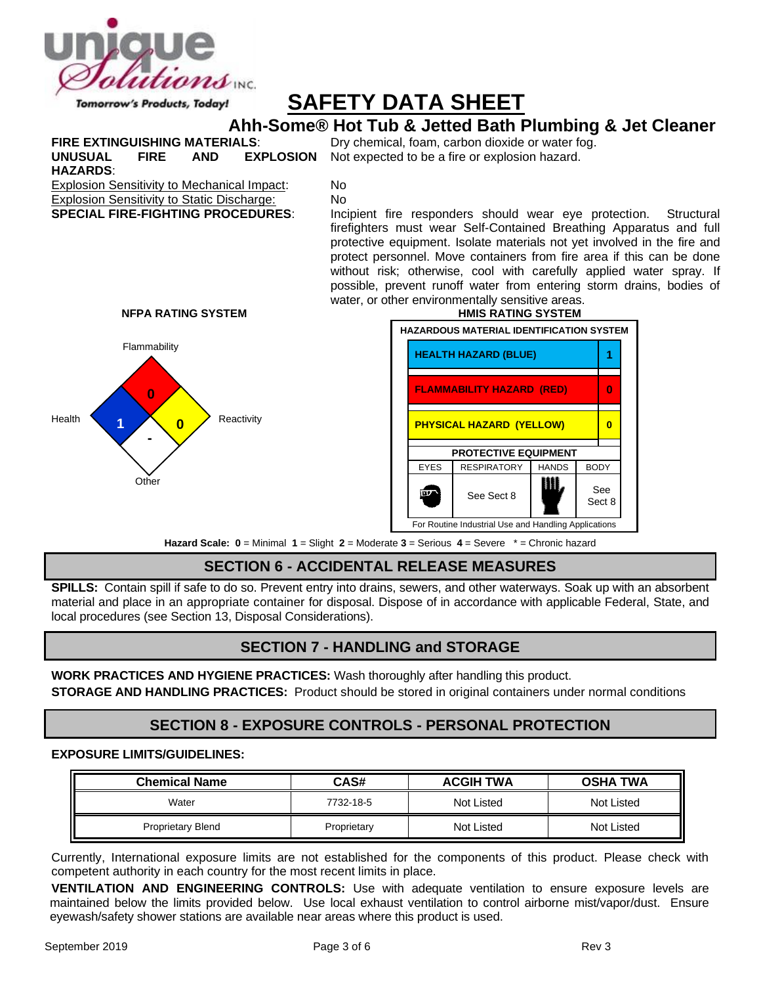

# **SAFETY DATA SHEET**

# **Ahh-Some® Hot Tub & Jetted Bath Plumbing & Jet Cleaner**

**FIRE EXTINGUISHING MATERIALS:** Dry chemical, foam, carbon dioxide or water fog. **UNUSUAL FIRE AND EXPLOSION HAZARDS**:

Not expected to be a fire or explosion hazard.

Explosion Sensitivity to Mechanical Impact: No Explosion Sensitivity to Static Discharge: No

**SPECIAL FIRE-FIGHTING PROCEDURES**: Incipient fire responders should wear eye protection. Structural firefighters must wear Self-Contained Breathing Apparatus and full protective equipment. Isolate materials not yet involved in the fire and protect personnel. Move containers from fire area if this can be done without risk; otherwise, cool with carefully applied water spray. If possible, prevent runoff water from entering storm drains, bodies of water, or other environmentally sensitive areas.







**Hazard Scale: 0** = Minimal **1** = Slight **2** = Moderate **3** = Serious **4** = Severe \* = Chronic hazard

# **SECTION 6 - ACCIDENTAL RELEASE MEASURES**

**SPILLS:** Contain spill if safe to do so. Prevent entry into drains, sewers, and other waterways. Soak up with an absorbent material and place in an appropriate container for disposal. Dispose of in accordance with applicable Federal, State, and local procedures (see Section 13, Disposal Considerations).

# **SECTION 7 - HANDLING and STORAGE**

**WORK PRACTICES AND HYGIENE PRACTICES:** Wash thoroughly after handling this product. **STORAGE AND HANDLING PRACTICES:** Product should be stored in original containers under normal conditions

# **SECTION 8 - EXPOSURE CONTROLS - PERSONAL PROTECTION**

#### **EXPOSURE LIMITS/GUIDELINES:**

| <b>Chemical Name</b>     | CAS#        | <b>ACGIH TWA</b>  | <b>OSHA TWA</b> |
|--------------------------|-------------|-------------------|-----------------|
| Water                    | 7732-18-5   | Not Listed        | Not Listed      |
| <b>Proprietary Blend</b> | Proprietary | <b>Not Listed</b> | Not Listed      |

Currently, International exposure limits are not established for the components of this product. Please check with competent authority in each country for the most recent limits in place.

**VENTILATION AND ENGINEERING CONTROLS:** Use with adequate ventilation to ensure exposure levels are maintained below the limits provided below. Use local exhaust ventilation to control airborne mist/vapor/dust. Ensure eyewash/safety shower stations are available near areas where this product is used.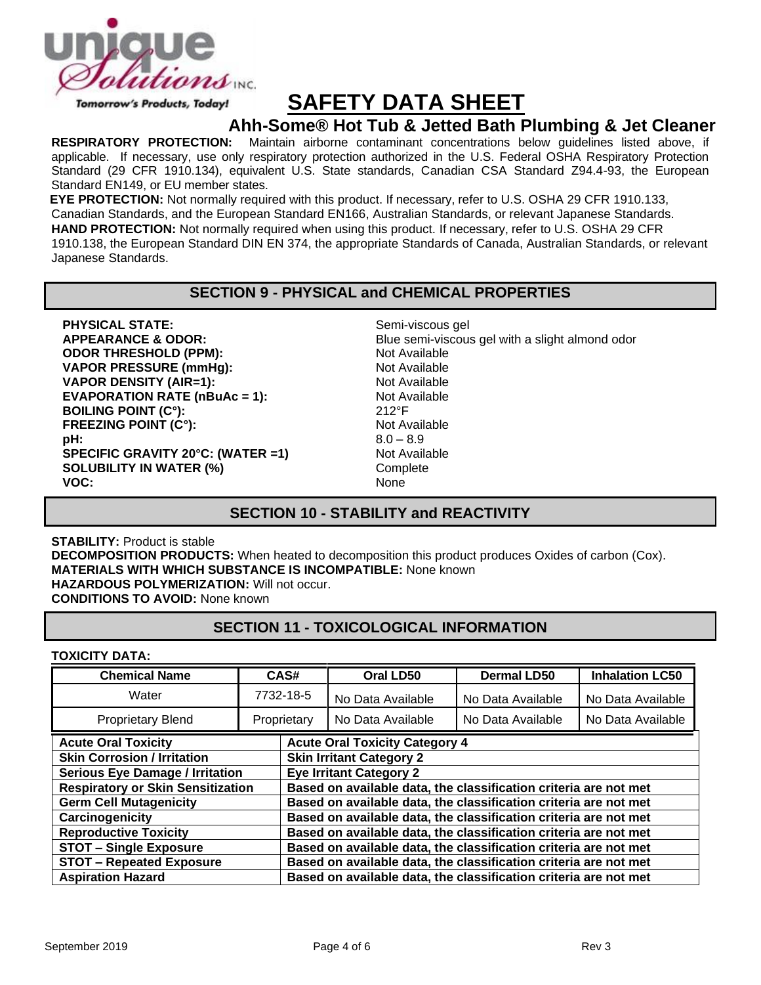

# **SAFETY DATA SHEET**

# **Ahh-Some® Hot Tub & Jetted Bath Plumbing & Jet Cleaner**<br>RESPIRATORY PROTECTION: Maintain airborne contaminant concentrations below quidelines listed above, if

Maintain airborne contaminant concentrations below guidelines listed above, if applicable. If necessary, use only respiratory protection authorized in the U.S. Federal OSHA Respiratory Protection Standard (29 CFR 1910.134), equivalent U.S. State standards, Canadian CSA Standard Z94.4-93, the European Standard EN149, or EU member states.

**EYE PROTECTION:** Not normally required with this product. If necessary, refer to U.S. OSHA 29 CFR 1910.133, Canadian Standards, and the European Standard EN166, Australian Standards, or relevant Japanese Standards.

**HAND PROTECTION:** Not normally required when using this product. If necessary, refer to U.S. OSHA 29 CFR 1910.138, the European Standard DIN EN 374, the appropriate Standards of Canada, Australian Standards, or relevant Japanese Standards.

## **SECTION 9 - PHYSICAL and CHEMICAL PROPERTIES**

**PHYSICAL STATE:** Semi-viscous gel **ODOR THRESHOLD (PPM):** Not Available **VAPOR PRESSURE (mmHg):** Not Available **VAPOR DENSITY (AIR=1):** Not Available **EVAPORATION RATE (nBuAc = 1):** Not Available **BOILING POINT (C°):** 212°F **FREEZING POINT (C°):** Not Available **pH:** 8.0 – 8.9 **SPECIFIC GRAVITY 20°C: (WATER =1)** Not Available **SOLUBILITY IN WATER (%)** Complete **VOC:** None

**APPEARANCE & ODOR:** Blue semi-viscous gel with a slight almond odor

# **SECTION 10 - STABILITY and REACTIVITY**

**STABILITY:** Product is stable **DECOMPOSITION PRODUCTS:** When heated to decomposition this product produces Oxides of carbon (Cox). **MATERIALS WITH WHICH SUBSTANCE IS INCOMPATIBLE:** None known **HAZARDOUS POLYMERIZATION:** Will not occur. **CONDITIONS TO AVOID:** None known

# **SECTION 11 - TOXICOLOGICAL INFORMATION**

#### **TOXICITY DATA:**

| <b>Chemical Name</b>                     | CAS#        |  | Oral LD50                                                        | <b>Dermal LD50</b> | <b>Inhalation LC50</b> |  |
|------------------------------------------|-------------|--|------------------------------------------------------------------|--------------------|------------------------|--|
| Water                                    | 7732-18-5   |  | No Data Available                                                | No Data Available  | No Data Available      |  |
| <b>Proprietary Blend</b>                 | Proprietary |  | No Data Available                                                | No Data Available  | No Data Available      |  |
| <b>Acute Oral Toxicity</b>               |             |  | <b>Acute Oral Toxicity Category 4</b>                            |                    |                        |  |
| <b>Skin Corrosion / Irritation</b>       |             |  | <b>Skin Irritant Category 2</b>                                  |                    |                        |  |
| <b>Serious Eye Damage / Irritation</b>   |             |  | <b>Eye Irritant Category 2</b>                                   |                    |                        |  |
| <b>Respiratory or Skin Sensitization</b> |             |  | Based on available data, the classification criteria are not met |                    |                        |  |
| <b>Germ Cell Mutagenicity</b>            |             |  | Based on available data, the classification criteria are not met |                    |                        |  |
| Carcinogenicity                          |             |  | Based on available data, the classification criteria are not met |                    |                        |  |
| <b>Reproductive Toxicity</b>             |             |  | Based on available data, the classification criteria are not met |                    |                        |  |
| <b>STOT - Single Exposure</b>            |             |  | Based on available data, the classification criteria are not met |                    |                        |  |
| <b>STOT - Repeated Exposure</b>          |             |  | Based on available data, the classification criteria are not met |                    |                        |  |
| <b>Aspiration Hazard</b>                 |             |  | Based on available data, the classification criteria are not met |                    |                        |  |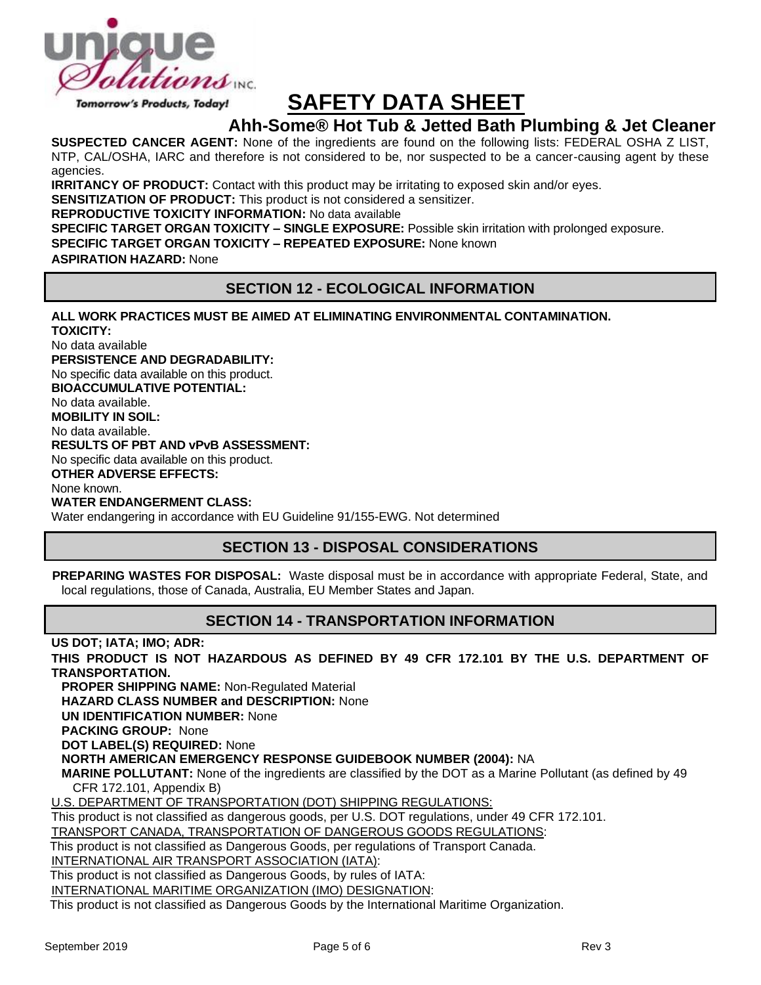

# **SAFETY DATA SHEET**

# **Ahh-Some® Hot Tub & Jetted Bath Plumbing & Jet Cleaner**

**SUSPECTED CANCER AGENT:** None of the ingredients are found on the following lists: FEDERAL OSHA Z LIST, NTP, CAL/OSHA, IARC and therefore is not considered to be, nor suspected to be a cancer-causing agent by these agencies.

**IRRITANCY OF PRODUCT:** Contact with this product may be irritating to exposed skin and/or eyes.

**SENSITIZATION OF PRODUCT:** This product is not considered a sensitizer.

**REPRODUCTIVE TOXICITY INFORMATION:** No data available

**SPECIFIC TARGET ORGAN TOXICITY – SINGLE EXPOSURE:** Possible skin irritation with prolonged exposure.

**SPECIFIC TARGET ORGAN TOXICITY – REPEATED EXPOSURE:** None known

**ASPIRATION HAZARD:** None

## **SECTION 12 - ECOLOGICAL INFORMATION**

#### **ALL WORK PRACTICES MUST BE AIMED AT ELIMINATING ENVIRONMENTAL CONTAMINATION.**

**TOXICITY:** No data available **PERSISTENCE AND DEGRADABILITY:** No specific data available on this product. **BIOACCUMULATIVE POTENTIAL:** No data available. **MOBILITY IN SOIL:** No data available. **RESULTS OF PBT AND vPvB ASSESSMENT:** No specific data available on this product. **OTHER ADVERSE EFFECTS:** None known. **WATER ENDANGERMENT CLASS:**

Water endangering in accordance with EU Guideline 91/155-EWG. Not determined

## **SECTION 13 - DISPOSAL CONSIDERATIONS**

**PREPARING WASTES FOR DISPOSAL:** Waste disposal must be in accordance with appropriate Federal, State, and local regulations, those of Canada, Australia, EU Member States and Japan.

## **SECTION 14 - TRANSPORTATION INFORMATION**

**US DOT; IATA; IMO; ADR:**

**THIS PRODUCT IS NOT HAZARDOUS AS DEFINED BY 49 CFR 172.101 BY THE U.S. DEPARTMENT OF TRANSPORTATION.**

**PROPER SHIPPING NAME:** Non-Regulated Material

**HAZARD CLASS NUMBER and DESCRIPTION:** None

**UN IDENTIFICATION NUMBER:** None

**PACKING GROUP:** None

**DOT LABEL(S) REQUIRED:** None

**NORTH AMERICAN EMERGENCY RESPONSE GUIDEBOOK NUMBER (2004):** NA

**MARINE POLLUTANT:** None of the ingredients are classified by the DOT as a Marine Pollutant (as defined by 49 CFR 172.101, Appendix B)

U.S. DEPARTMENT OF TRANSPORTATION (DOT) SHIPPING REGULATIONS:

This product is not classified as dangerous goods, per U.S. DOT regulations, under 49 CFR 172.101.

TRANSPORT CANADA, TRANSPORTATION OF DANGEROUS GOODS REGULATIONS:

This product is not classified as Dangerous Goods, per regulations of Transport Canada.

INTERNATIONAL AIR TRANSPORT ASSOCIATION (IATA):

This product is not classified as Dangerous Goods, by rules of IATA:

INTERNATIONAL MARITIME ORGANIZATION (IMO) DESIGNATION:

This product is not classified as Dangerous Goods by the International Maritime Organization.